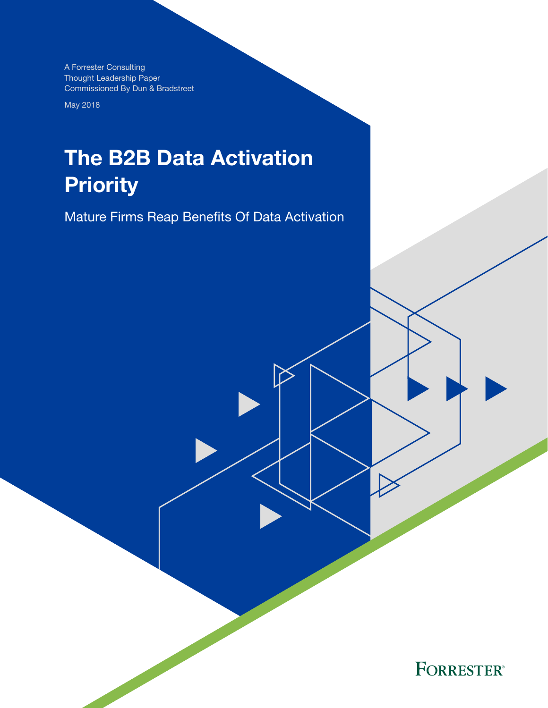A Forrester Consulting Thought Leadership Paper Commissioned By Dun & Bradstreet

May 2018

# The B2B Data Activation **Priority**

Mature Firms Reap Benefits Of Data Activation

**FORRESTER®**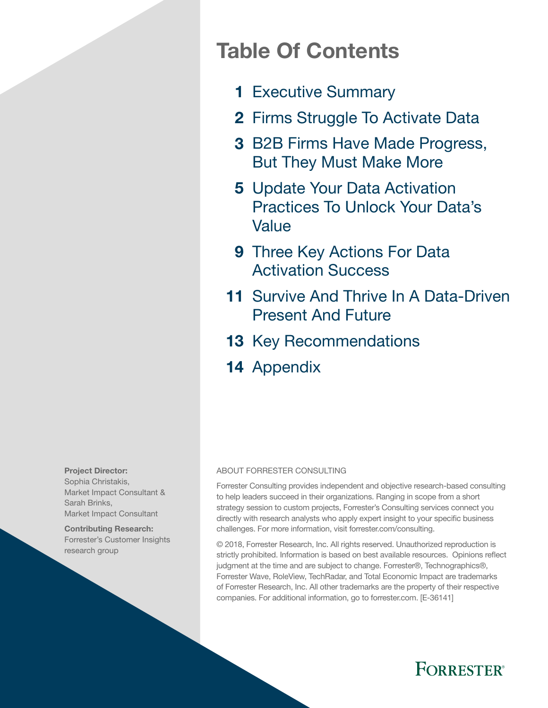# Table Of Contents

- 1 [Executive Summary](#page-2-0)
- 2 Firms Struggle To Activate Data
- 3 B2B Firms Have Made Progress, [But They Must Make More](#page-4-0)
- **5** Update Your Data Activation [Practices To Unlock Your Data's](#page-6-0)  [Value](#page-6-0)
- 9 Three Key Actions For Data [Activation Success](#page-10-0)
- 11 Survive And Thrive In A Data-Driven [Present And Future](#page-12-0)
- 13 [Key Recommendations](#page-14-0)
- 14 [Appendix](#page-15-0)

#### Project Director:

Sophia Christakis, Market Impact Consultant & Sarah Brinks, Market Impact Consultant

Contributing Research: Forrester's Customer Insights research group

#### ABOUT FORRESTER CONSULTING

Forrester Consulting provides independent and objective research-based consulting to help leaders succeed in their organizations. Ranging in scope from a short strategy session to custom projects, Forrester's Consulting services connect you directly with research analysts who apply expert insight to your specific business challenges. For more information, visit forrester.com/consulting.

© 2018, Forrester Research, Inc. All rights reserved. Unauthorized reproduction is strictly prohibited. Information is based on best available resources. Opinions reflect judgment at the time and are subject to change. Forrester®, Technographics®, Forrester Wave, RoleView, TechRadar, and Total Economic Impact are trademarks of Forrester Research, Inc. All other trademarks are the property of their respective companies. For additional information, go to forrester.com. [E-36141]

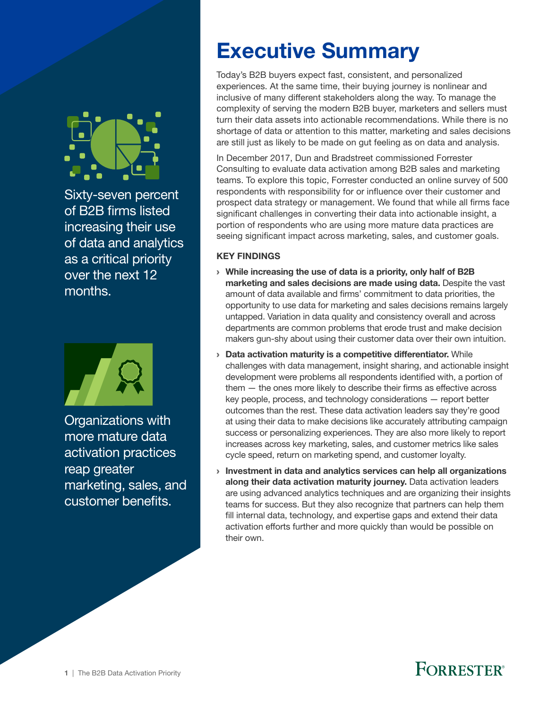<span id="page-2-0"></span>

Sixty-seven percent of B2B firms listed increasing their use of data and analytics as a critical priority over the next 12 months.



Organizations with more mature data activation practices reap greater marketing, sales, and customer benefits.

# Executive Summary

Today's B2B buyers expect fast, consistent, and personalized experiences. At the same time, their buying journey is nonlinear and inclusive of many different stakeholders along the way. To manage the complexity of serving the modern B2B buyer, marketers and sellers must turn their data assets into actionable recommendations. While there is no shortage of data or attention to this matter, marketing and sales decisions are still just as likely to be made on gut feeling as on data and analysis.

In December 2017, Dun and Bradstreet commissioned Forrester Consulting to evaluate data activation among B2B sales and marketing teams. To explore this topic, Forrester conducted an online survey of 500 respondents with responsibility for or influence over their customer and prospect data strategy or management. We found that while all firms face significant challenges in converting their data into actionable insight, a portion of respondents who are using more mature data practices are seeing significant impact across marketing, sales, and customer goals.

### KEY FINDINGS

- › While increasing the use of data is a priority, only half of B2B marketing and sales decisions are made using data. Despite the vast amount of data available and firms' commitment to data priorities, the opportunity to use data for marketing and sales decisions remains largely untapped. Variation in data quality and consistency overall and across departments are common problems that erode trust and make decision makers gun-shy about using their customer data over their own intuition.
- › Data activation maturity is a competitive differentiator. While challenges with data management, insight sharing, and actionable insight development were problems all respondents identified with, a portion of them — the ones more likely to describe their firms as effective across key people, process, and technology considerations — report better outcomes than the rest. These data activation leaders say they're good at using their data to make decisions like accurately attributing campaign success or personalizing experiences. They are also more likely to report increases across key marketing, sales, and customer metrics like sales cycle speed, return on marketing spend, and customer loyalty.
- › Investment in data and analytics services can help all organizations along their data activation maturity journey. Data activation leaders are using advanced analytics techniques and are organizing their insights teams for success. But they also recognize that partners can help them fill internal data, technology, and expertise gaps and extend their data activation efforts further and more quickly than would be possible on their own.

# **FORRESTER**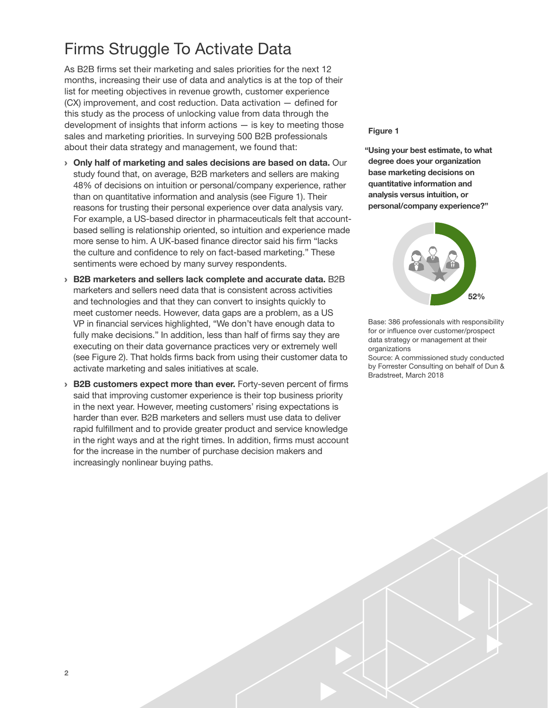## <span id="page-3-0"></span>Firms Struggle To Activate Data

As B2B firms set their marketing and sales priorities for the next 12 months, increasing their use of data and analytics is at the top of their list for meeting objectives in revenue growth, customer experience (CX) improvement, and cost reduction. Data activation — defined for this study as the process of unlocking value from data through the development of insights that inform actions  $-$  is key to meeting those sales and marketing priorities. In surveying 500 B2B professionals about their data strategy and management, we found that:

- › Only half of marketing and sales decisions are based on data. Our study found that, on average, B2B marketers and sellers are making 48% of decisions on intuition or personal/company experience, rather than on quantitative information and analysis (see Figure 1). Their reasons for trusting their personal experience over data analysis vary. For example, a US-based director in pharmaceuticals felt that accountbased selling is relationship oriented, so intuition and experience made more sense to him. A UK-based finance director said his firm "lacks the culture and confidence to rely on fact-based marketing." These sentiments were echoed by many survey respondents.
- › B2B marketers and sellers lack complete and accurate data. B2B marketers and sellers need data that is consistent across activities and technologies and that they can convert to insights quickly to meet customer needs. However, data gaps are a problem, as a US VP in financial services highlighted, "We don't have enough data to fully make decisions." In addition, less than half of firms say they are executing on their data governance practices very or extremely well (see Figure 2). That holds firms back from using their customer data to activate marketing and sales initiatives at scale.
- › B2B customers expect more than ever. Forty-seven percent of firms said that improving customer experience is their top business priority in the next year. However, meeting customers' rising expectations is harder than ever. B2B marketers and sellers must use data to deliver rapid fulfillment and to provide greater product and service knowledge in the right ways and at the right times. In addition, firms must account for the increase in the number of purchase decision makers and increasingly nonlinear buying paths.

#### Figure 1

"Using your best estimate, to what degree does your organization base marketing decisions on quantitative information and analysis versus intuition, or personal/company experience?"



Base: 386 professionals with responsibility for or influence over customer/prospect data strategy or management at their organizations

Source: A commissioned study conducted by Forrester Consulting on behalf of Dun & Bradstreet, March 2018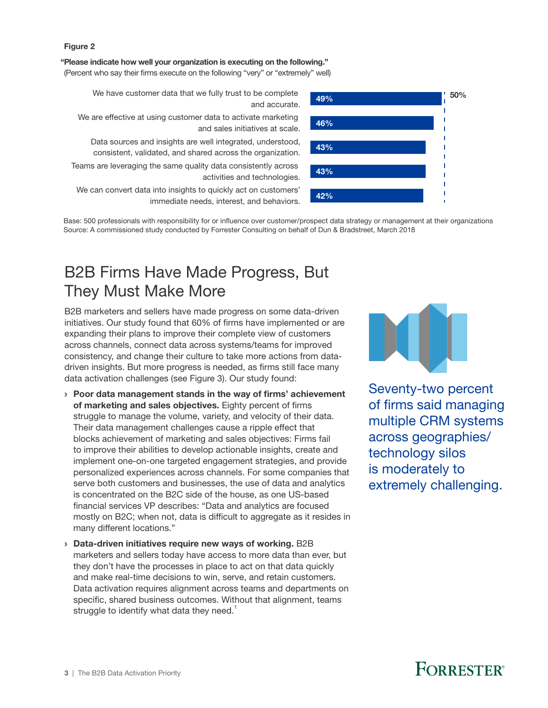<span id="page-4-0"></span>"Please indicate how well your organization is executing on the following."

(Percent who say their firms execute on the following "very" or "extremely" well)

We have customer data that we fully trust to be complete

- We are effective at using customer data to activate marketing and sales initiatives at scale.
	- Data sources and insights are well integrated, understood, zala sources and insights are well integrated, understood,<br>consistent, validated, and shared across the organization.
- Teams are leveraging the same quality data consistently across activities and technologies.

We can convert data into insights to quickly act on customers' immediate needs, interest, and behaviors.

Base: 500 professionals with responsibility for or influence over customer/prospect data strategy or management at their organizations Source: A commissioned study conducted by Forrester Consulting on behalf of Dun & Bradstreet, March 2018

## B2B Firms Have Made Progress, But They Must Make More

B2B marketers and sellers have made progress on some data-driven initiatives. Our study found that 60% of firms have implemented or are expanding their plans to improve their complete view of customers across channels, connect data across systems/teams for improved consistency, and change their culture to take more actions from datadriven insights. But more progress is needed, as firms still face many data activation challenges (see Figure 3). Our study found:

- › Poor data management stands in the way of firms' achievement of marketing and sales objectives. Eighty percent of firms struggle to manage the volume, variety, and velocity of their data. Their data management challenges cause a ripple effect that blocks achievement of marketing and sales objectives: Firms fail to improve their abilities to develop actionable insights, create and implement one-on-one targeted engagement strategies, and provide personalized experiences across channels. For some companies that serve both customers and businesses, the use of data and analytics is concentrated on the B2C side of the house, as one US-based financial services VP describes: "Data and analytics are focused mostly on B2C; when not, data is difficult to aggregate as it resides in many different locations."
- › Data-driven initiatives require new ways of working. B2B marketers and sellers today have access to more data than ever, but they don't have the processes in place to act on that data quickly and make real-time decisions to win, serve, and retain customers. Data activation requires alignment across teams and departments on specific, shared business outcomes. Without that alignment, teams struggle to identify what data they need.<sup>1</sup>





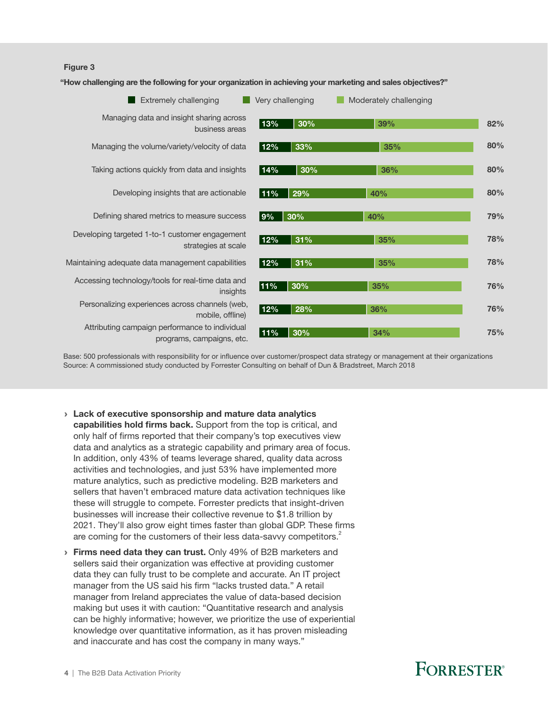"How challenging are the following for your organization in achieving your marketing and sales objectives?"



Base: 500 professionals with responsibility for or influence over customer/prospect data strategy or management at their organizations Source: A commissioned study conducted by Forrester Consulting on behalf of Dun & Bradstreet, March 2018

- › Lack of executive sponsorship and mature data analytics capabilities hold firms back. Support from the top is critical, and only half of firms reported that their company's top executives view data and analytics as a strategic capability and primary area of focus. In addition, only 43% of teams leverage shared, quality data across activities and technologies, and just 53% have implemented more mature analytics, such as predictive modeling. B2B marketers and sellers that haven't embraced mature data activation techniques like these will struggle to compete. Forrester predicts that insight-driven businesses will increase their collective revenue to \$1.8 trillion by 2021. They'll also grow eight times faster than global GDP. These firms are coming for the customers of their less data-savvy competitors. $2$
- **> Firms need data they can trust.** Only 49% of B2B marketers and sellers said their organization was effective at providing customer data they can fully trust to be complete and accurate. An IT project manager from the US said his firm "lacks trusted data." A retail manager from Ireland appreciates the value of data-based decision making but uses it with caution: "Quantitative research and analysis can be highly informative; however, we prioritize the use of experiential knowledge over quantitative information, as it has proven misleading and inaccurate and has cost the company in many ways."

## **FORRESTER**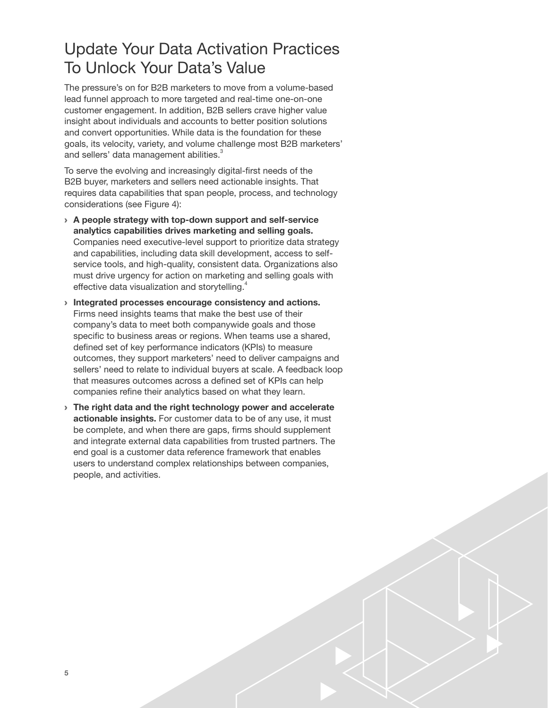### <span id="page-6-0"></span>Update Your Data Activation Practices To Unlock Your Data's Value

The pressure's on for B2B marketers to move from a volume-based lead funnel approach to more targeted and real-time one-on-one customer engagement. In addition, B2B sellers crave higher value insight about individuals and accounts to better position solutions and convert opportunities. While data is the foundation for these goals, its velocity, variety, and volume challenge most B2B marketers' and sellers' data management abilities. $^3$ 

To serve the evolving and increasingly digital-first needs of the B2B buyer, marketers and sellers need actionable insights. That requires data capabilities that span people, process, and technology considerations (see Figure 4):

- › A people strategy with top-down support and self-service analytics capabilities drives marketing and selling goals. Companies need executive-level support to prioritize data strategy and capabilities, including data skill development, access to selfservice tools, and high-quality, consistent data. Organizations also must drive urgency for action on marketing and selling goals with effective data visualization and storytelling.<sup>4</sup>
- › Integrated processes encourage consistency and actions. Firms need insights teams that make the best use of their company's data to meet both companywide goals and those specific to business areas or regions. When teams use a shared, defined set of key performance indicators (KPIs) to measure outcomes, they support marketers' need to deliver campaigns and sellers' need to relate to individual buyers at scale. A feedback loop that measures outcomes across a defined set of KPIs can help companies refine their analytics based on what they learn.
- › The right data and the right technology power and accelerate actionable insights. For customer data to be of any use, it must be complete, and when there are gaps, firms should supplement and integrate external data capabilities from trusted partners. The end goal is a customer data reference framework that enables users to understand complex relationships between companies, people, and activities.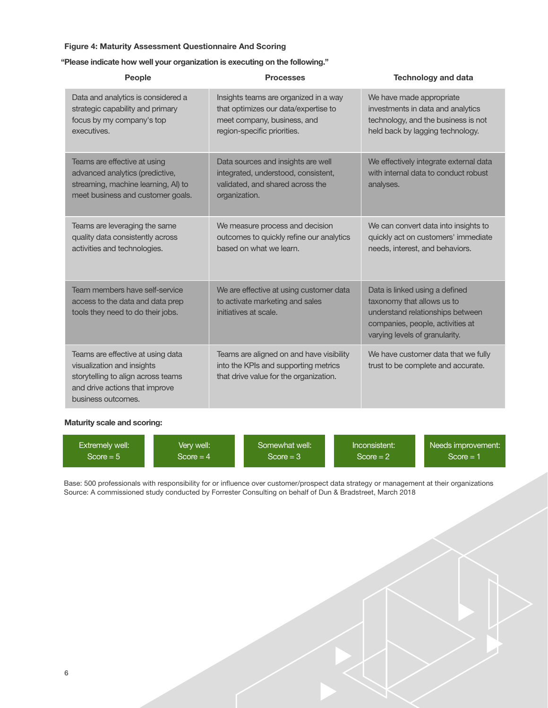#### Figure 4: Maturity Assessment Questionnaire And Scoring

#### "Please indicate how well your organization is executing on the following."

| <b>People</b>                                                                                                                                                 | <b>Processes</b>                                                                                                                            | <b>Technology and data</b>                                                                                                                                             |
|---------------------------------------------------------------------------------------------------------------------------------------------------------------|---------------------------------------------------------------------------------------------------------------------------------------------|------------------------------------------------------------------------------------------------------------------------------------------------------------------------|
| Data and analytics is considered a<br>strategic capability and primary<br>focus by my company's top<br>executives.                                            | Insights teams are organized in a way<br>that optimizes our data/expertise to<br>meet company, business, and<br>region-specific priorities. | We have made appropriate<br>investments in data and analytics<br>technology, and the business is not<br>held back by lagging technology.                               |
| Teams are effective at using<br>advanced analytics (predictive,<br>streaming, machine learning, AI) to<br>meet business and customer goals.                   | Data sources and insights are well<br>integrated, understood, consistent,<br>validated, and shared across the<br>organization.              | We effectively integrate external data<br>with internal data to conduct robust<br>analyses.                                                                            |
| Teams are leveraging the same<br>quality data consistently across<br>activities and technologies.                                                             | We measure process and decision<br>outcomes to quickly refine our analytics<br>based on what we learn.                                      | We can convert data into insights to<br>quickly act on customers' immediate<br>needs, interest, and behaviors.                                                         |
| Team members have self-service<br>access to the data and data prep<br>tools they need to do their jobs.                                                       | We are effective at using customer data<br>to activate marketing and sales<br>initiatives at scale.                                         | Data is linked using a defined<br>taxonomy that allows us to<br>understand relationships between<br>companies, people, activities at<br>varying levels of granularity. |
| Teams are effective at using data<br>visualization and insights<br>storytelling to align across teams<br>and drive actions that improve<br>business outcomes. | Teams are aligned on and have visibility<br>into the KPIs and supporting metrics<br>that drive value for the organization.                  | We have customer data that we fully<br>trust to be complete and accurate.                                                                                              |

#### Maturity scale and scoring:

| Extremely well: | Very well: '        | Somewhat well: | Inconsistent: | Needs improvement: |
|-----------------|---------------------|----------------|---------------|--------------------|
| $Score = 5$     | Score = $4^{\circ}$ | $Score = 3$    | $Score = 2$   | $Score = 1$        |

Base: 500 professionals with responsibility for or influence over customer/prospect data strategy or management at their organizations Source: A commissioned study conducted by Forrester Consulting on behalf of Dun & Bradstreet, March 2018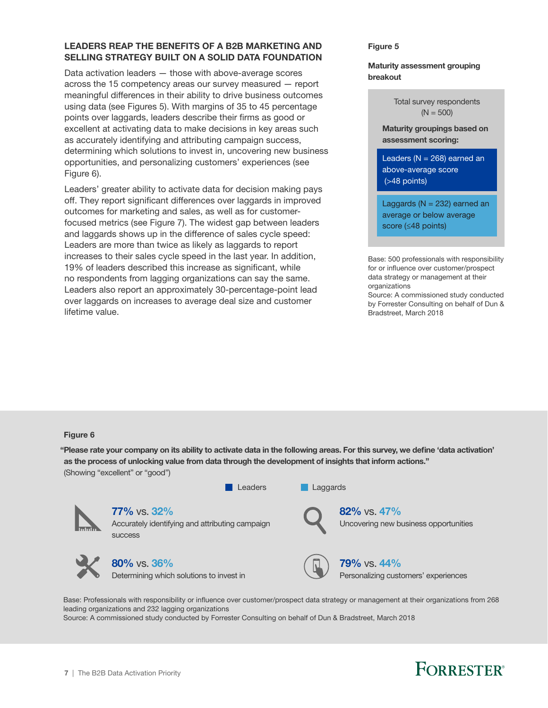### LEADERS REAP THE BENEFITS OF A B2B MARKETING AND SELLING STRATEGY BUILT ON A SOLID DATA FOUNDATION

Data activation leaders — those with above-average scores across the 15 competency areas our survey measured — report meaningful differences in their ability to drive business outcomes using data (see Figures 5). With margins of 35 to 45 percentage points over laggards, leaders describe their firms as good or excellent at activating data to make decisions in key areas such as accurately identifying and attributing campaign success, determining which solutions to invest in, uncovering new business opportunities, and personalizing customers' experiences (see Figure 6).

Leaders' greater ability to activate data for decision making pays off. They report significant differences over laggards in improved outcomes for marketing and sales, as well as for customerfocused metrics (see Figure 7). The widest gap between leaders and laggards shows up in the difference of sales cycle speed: Leaders are more than twice as likely as laggards to report increases to their sales cycle speed in the last year. In addition, 19% of leaders described this increase as significant, while no respondents from lagging organizations can say the same. Leaders also report an approximately 30-percentage-point lead over laggards on increases to average deal size and customer lifetime value.

Figure 5

#### Maturity assessment grouping breakout

Total survey respondents  $(N = 500)$ 

Maturity groupings based on assessment scoring:

Leaders ( $N = 268$ ) earned an above-average score (>48 points)

Laggards ( $N = 232$ ) earned an average or below average score (≤48 points)

Base: 500 professionals with responsibility for or influence over customer/prospect data strategy or management at their organizations

Source: A commissioned study conducted by Forrester Consulting on behalf of Dun & Bradstreet, March 2018

#### Figure 6

"Please rate your company on its ability to activate data in the following areas. For this survey, we define 'data activation' as the process of unlocking value from data through the development of insights that inform actions." (Showing "excellent" or "good")



Base: Professionals with responsibility or influence over customer/prospect data strategy or management at their organizations from 268 leading organizations and 232 lagging organizations

Source: A commissioned study conducted by Forrester Consulting on behalf of Dun & Bradstreet, March 2018

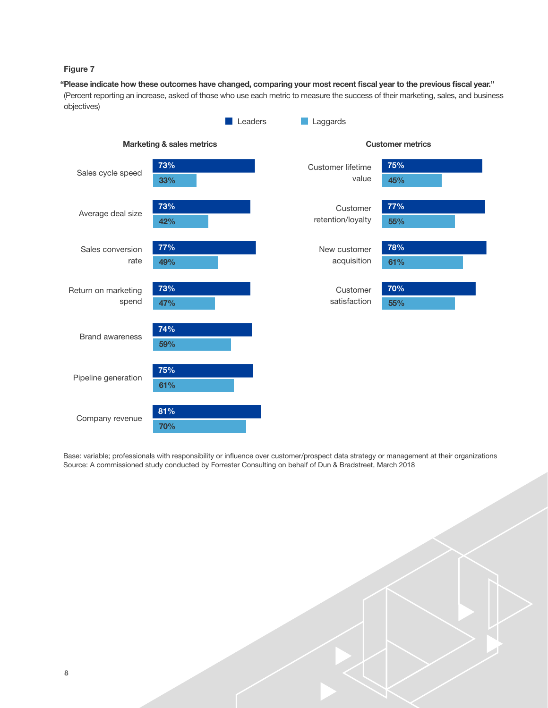"Please indicate how these outcomes have changed, comparing your most recent fiscal year to the previous fiscal year." (Percent reporting an increase, asked of those who use each metric to measure the success of their marketing, sales, and business objectives)



Base: variable; professionals with responsibility or influence over customer/prospect data strategy or management at their organizations Source: A commissioned study conducted by Forrester Consulting on behalf of Dun & Bradstreet, March 2018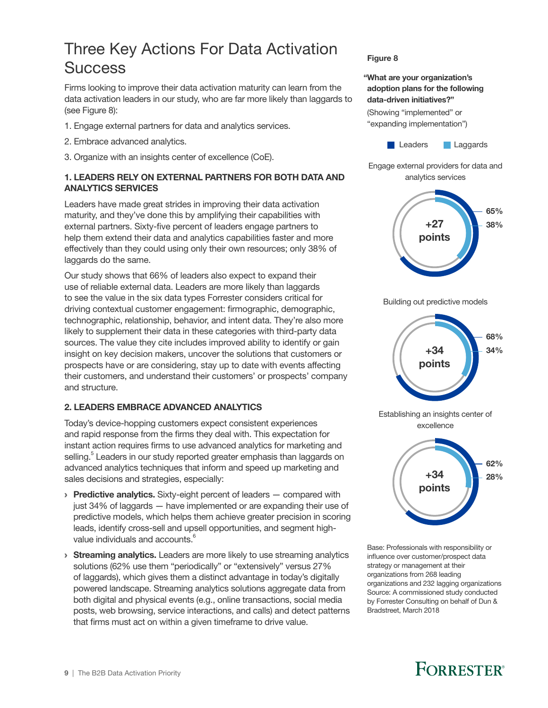### <span id="page-10-0"></span>Three Key Actions For Data Activation **Success**

Firms looking to improve their data activation maturity can learn from the data activation leaders in our study, who are far more likely than laggards to (see Figure 8):

- 1. Engage external partners for data and analytics services.
- 2. Embrace advanced analytics.
- 3. Organize with an insights center of excellence (CoE).

### 1. LEADERS RELY ON EXTERNAL PARTNERS FOR BOTH DATA AND ANALYTICS SERVICES

Leaders have made great strides in improving their data activation maturity, and they've done this by amplifying their capabilities with external partners. Sixty-five percent of leaders engage partners to help them extend their data and analytics capabilities faster and more effectively than they could using only their own resources; only 38% of laggards do the same.

Our study shows that 66% of leaders also expect to expand their use of reliable external data. Leaders are more likely than laggards to see the value in the six data types Forrester considers critical for driving contextual customer engagement: firmographic, demographic, technographic, relationship, behavior, and intent data. They're also more likely to supplement their data in these categories with third-party data sources. The value they cite includes improved ability to identify or gain insight on key decision makers, uncover the solutions that customers or prospects have or are considering, stay up to date with events affecting their customers, and understand their customers' or prospects' company and structure.

### 2. LEADERS EMBRACE ADVANCED ANALYTICS

Today's device-hopping customers expect consistent experiences and rapid response from the firms they deal with. This expectation for instant action requires firms to use advanced analytics for marketing and selling.<sup>5</sup> Leaders in our study reported greater emphasis than laggards on advanced analytics techniques that inform and speed up marketing and sales decisions and strategies, especially:

- $\rightarrow$  Predictive analytics. Sixty-eight percent of leaders  $-$  compared with just 34% of laggards — have implemented or are expanding their use of predictive models, which helps them achieve greater precision in scoring leads, identify cross-sell and upsell opportunities, and segment highvalue individuals and accounts.<sup>6</sup>
- **> Streaming analytics.** Leaders are more likely to use streaming analytics solutions (62% use them "periodically" or "extensively" versus 27% of laggards), which gives them a distinct advantage in today's digitally powered landscape. Streaming analytics solutions aggregate data from both digital and physical events (e.g., online transactions, social media posts, web browsing, service interactions, and calls) and detect patterns that firms must act on within a given timeframe to drive value.

#### Figure 8

### "What are your organization's adoption plans for the following data-driven initiatives?"

(Showing "implemented" or "expanding implementation")



Engage external providers for data and analytics services



Building out predictive models



Establishing an insights center of excellence



Base: Professionals with responsibility or influence over customer/prospect data strategy or management at their organizations from 268 leading organizations and 232 lagging organizations Source: A commissioned study conducted by Forrester Consulting on behalf of Dun & Bradstreet, March 2018

# **FORRESTER®**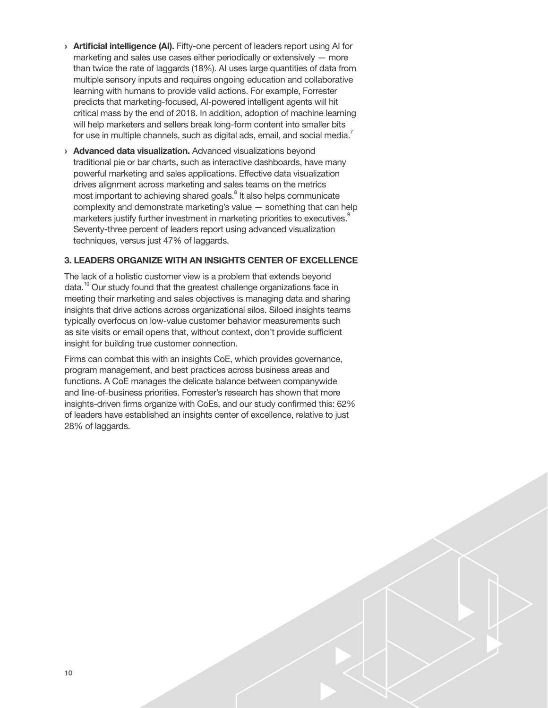- > Artificial intelligence (AI). Fifty-one percent of leaders report using AI for marketing and sales use cases either periodically or extensively — more than twice the rate of laggards (18%). AI uses large quantities of data from multiple sensory inputs and requires ongoing education and collaborative learning with humans to provide valid actions. For example, Forrester predicts that marketing-focused, AI-powered intelligent agents will hit critical mass by the end of 2018. In addition, adoption of machine learning will help marketers and sellers break long-form content into smaller bits for use in multiple channels, such as digital ads, email, and social media.<sup>7</sup>
- › Advanced data visualization. Advanced visualizations beyond traditional pie or bar charts, such as interactive dashboards, have many powerful marketing and sales applications. Effective data visualization drives alignment across marketing and sales teams on the metrics most important to achieving shared goals.<sup>8</sup> It also helps communicate complexity and demonstrate marketing's value — something that can help marketers justify further investment in marketing priorities to executives.<sup>9</sup> Seventy-three percent of leaders report using advanced visualization techniques, versus just 47% of laggards.

### 3. LEADERS ORGANIZE WITH AN INSIGHTS CENTER OF EXCELLENCE

The lack of a holistic customer view is a problem that extends beyond data.<sup>10</sup> Our study found that the greatest challenge organizations face in meeting their marketing and sales objectives is managing data and sharing insights that drive actions across organizational silos. Siloed insights teams typically overfocus on low-value customer behavior measurements such as site visits or email opens that, without context, don't provide sufficient insight for building true customer connection.

Firms can combat this with an insights CoE, which provides governance, program management, and best practices across business areas and functions. A CoE manages the delicate balance between companywide and line-of-business priorities. Forrester's research has shown that more insights-driven firms organize with CoEs, and our study confirmed this: 62% of leaders have established an insights center of excellence, relative to just 28% of laggards.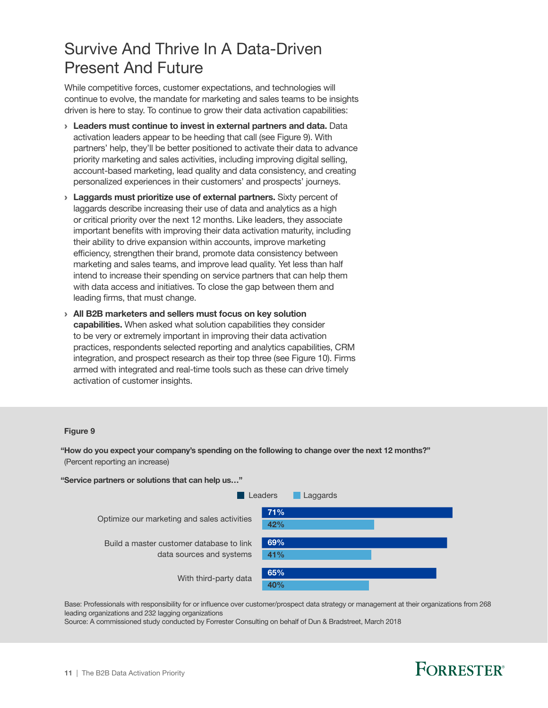### <span id="page-12-0"></span>Survive And Thrive In A Data-Driven Present And Future

While competitive forces, customer expectations, and technologies will continue to evolve, the mandate for marketing and sales teams to be insights driven is here to stay. To continue to grow their data activation capabilities:

- › Leaders must continue to invest in external partners and data. Data activation leaders appear to be heeding that call (see Figure 9). With partners' help, they'll be better positioned to activate their data to advance priority marketing and sales activities, including improving digital selling, account-based marketing, lead quality and data consistency, and creating personalized experiences in their customers' and prospects' journeys.
- > Laggards must prioritize use of external partners. Sixty percent of laggards describe increasing their use of data and analytics as a high or critical priority over the next 12 months. Like leaders, they associate important benefits with improving their data activation maturity, including their ability to drive expansion within accounts, improve marketing efficiency, strengthen their brand, promote data consistency between marketing and sales teams, and improve lead quality. Yet less than half intend to increase their spending on service partners that can help them with data access and initiatives. To close the gap between them and leading firms, that must change.
- › All B2B marketers and sellers must focus on key solution capabilities. When asked what solution capabilities they consider to be very or extremely important in improving their data activation practices, respondents selected reporting and analytics capabilities, CRM integration, and prospect research as their top three (see Figure 10). Firms armed with integrated and real-time tools such as these can drive timely activation of customer insights.

#### Figure 9

"How do you expect your company's spending on the following to change over the next 12 months?" (Percent reporting an increase)

"Service partners or solutions that can help us…"

| Laggards |
|----------|
|          |
|          |
|          |
|          |
|          |
|          |
|          |

Base: Professionals with responsibility for or influence over customer/prospect data strategy or management at their organizations from 268 leading organizations and 232 lagging organizations

Source: A commissioned study conducted by Forrester Consulting on behalf of Dun & Bradstreet, March 2018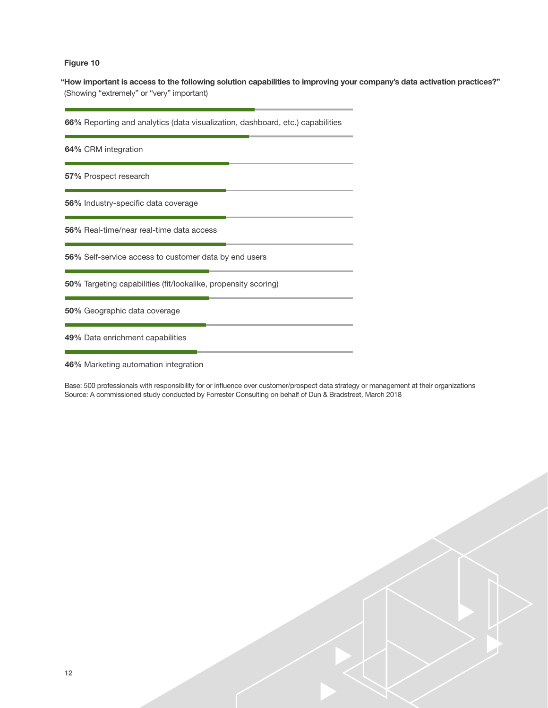"How important is access to the following solution capabilities to improving your company's data activation practices?" (Showing "extremely" or "very" important)

66% Reporting and analytics (data visualization, dashboard, etc.) capabilities

64% CRM integration

57% Prospect research

56% Industry-specific data coverage

56% Real-time/near real-time data access

56% Self-service access to customer data by end users

50% Targeting capabilities (fit/lookalike, propensity scoring)

50% Geographic data coverage

49% Data enrichment capabilities

46% Marketing automation integration

Base: 500 professionals with responsibility for or influence over customer/prospect data strategy or management at their organizations Source: A commissioned study conducted by Forrester Consulting on behalf of Dun & Bradstreet, March 2018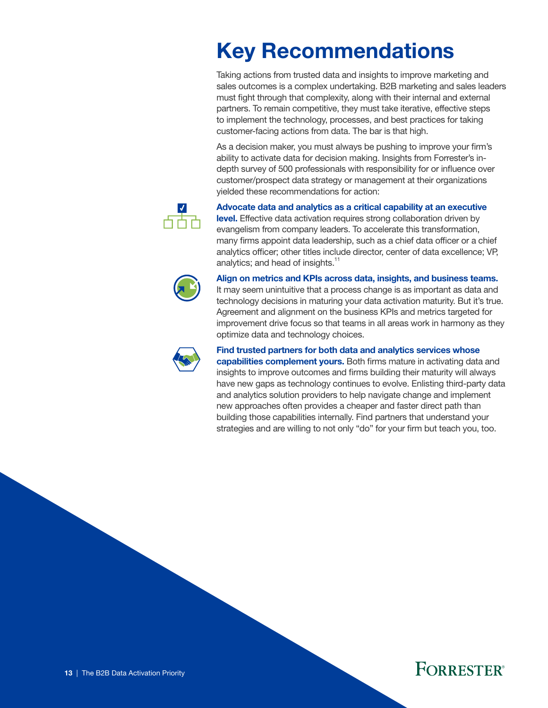# <span id="page-14-0"></span>Key Recommendations

Taking actions from trusted data and insights to improve marketing and sales outcomes is a complex undertaking. B2B marketing and sales leaders must fight through that complexity, along with their internal and external partners. To remain competitive, they must take iterative, effective steps to implement the technology, processes, and best practices for taking customer-facing actions from data. The bar is that high.

As a decision maker, you must always be pushing to improve your firm's ability to activate data for decision making. Insights from Forrester's indepth survey of 500 professionals with responsibility for or influence over customer/prospect data strategy or management at their organizations yielded these recommendations for action:



Advocate data and analytics as a critical capability at an executive

level. Effective data activation requires strong collaboration driven by evangelism from company leaders. To accelerate this transformation, many firms appoint data leadership, such as a chief data officer or a chief analytics officer; other titles include director, center of data excellence; VP, analytics; and head of insights.<sup>11</sup>



Align on metrics and KPIs across data, insights, and business teams. It may seem unintuitive that a process change is as important as data and technology decisions in maturing your data activation maturity. But it's true. Agreement and alignment on the business KPIs and metrics targeted for improvement drive focus so that teams in all areas work in harmony as they optimize data and technology choices.



### Find trusted partners for both data and analytics services whose

**capabilities complement yours.** Both firms mature in activating data and insights to improve outcomes and firms building their maturity will always have new gaps as technology continues to evolve. Enlisting third-party data and analytics solution providers to help navigate change and implement new approaches often provides a cheaper and faster direct path than building those capabilities internally. Find partners that understand your strategies and are willing to not only "do" for your firm but teach you, too.

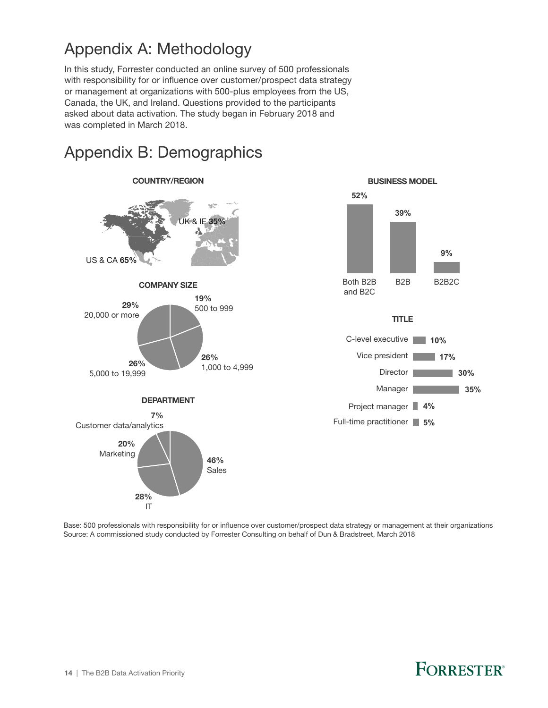## <span id="page-15-0"></span>Appendix A: Methodology

In this study, Forrester conducted an online survey of 500 professionals with responsibility for or influence over customer/prospect data strategy or management at organizations with 500-plus employees from the US, Canada, the UK, and Ireland. Questions provided to the participants asked about data activation. The study began in February 2018 and was completed in March 2018.





Base: 500 professionals with responsibility for or influence over customer/prospect data strategy or management at their organizations Source: A commissioned study conducted by Forrester Consulting on behalf of Dun & Bradstreet, March 2018

# FORRESTER®